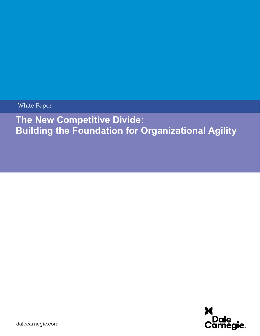White Paper

# **The New Competitive Divide: Building the Foundation for Organizational Agility**

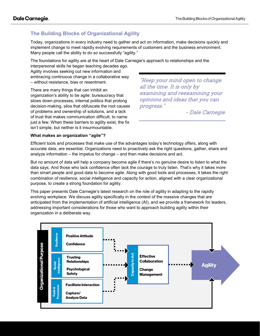# **The Building Blocks of Organizational Agility**

Today, organizations in every industry need to gather and act on information, make decisions quickly and implement change to meet rapidly evolving requirements of customers and the business environment. Many people call the ability to do so successfully "agility."

The foundations for agility are at the heart of Dale Carnegie's approach to relationships and the

interpersonal skills he began teaching decades ago. Agility involves seeking out new information and embracing continuous change in a collaborative way – without resistance, bias or resentment.

There are many things that can inhibit an organization's ability to be agile: bureaucracy that slows down processes, internal politics that prolong decision-making, silos that obfuscate the root causes of problems and ownership of solutions, and a lack of trust that makes communication difficult, to name just a few. When these barriers to agility exist, the fix isn't simple, but neither is it insurmountable.

"Keep your mind open to change all the time. It is only by examining and reexamining your opinions and ideas that you can progress."

- Dale Carnegie

### **What makes an organization "agile"?**

Efficient tools and processes that make use of the advantages today's technology offers, along with accurate data, are essential. Organizations need to proactively ask the right questions, gather, share and analyze information – the impetus for change – and then make decisions and act.

But no amount of data will help a company become agile if there's no genuine desire to listen to what the data says. And those who lack confidence often lack the courage to truly listen. That's why it takes more than smart people and good data to become agile. Along with good tools and processes, it takes the right combination of resilience, social intelligence and capacity for action, aligned with a clear organizational purpose, to create a strong foundation for agility.

This paper presents Dale Carnegie's latest research on the role of agility in adapting to the rapidly evolving workplace. We discuss agility specifically in the context of the massive changes that are anticipated from the implementation of artificial intelligence (AI), and we provide a framework for leaders, addressing important considerations for those who want to approach building agility within their organization in a deliberate way.

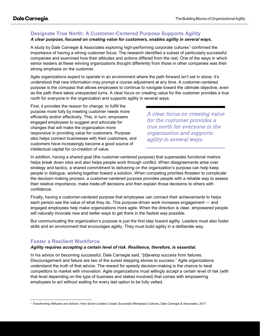# **Designate True North: A Customer-Centered Purpose Supports Agility**

## *A clear purpose, focused on creating value for customers, enables agility in several ways.*

A study by Dale Carnegie & Associates exploring high-performing corporate cultures<sup>[1](#page-2-0)</sup> confirmed the importance of having a strong customer focus. The research identified a subset of particularly successful companies and examined how their attitudes and actions differed from the rest. One of the ways in which senior leaders at these winning organizations thought differently from those in other companies was their strong emphasis on the customer.

Agile organizations expect to operate in an environment where the path forward isn't set in stone; it's understood that new information may prompt a course adjustment at any time. A customer-centered purpose is the compass that allows employees to continue to navigate toward the ultimate objective, even as the path there takes unexpected turns. A clear focus on creating value for the customer provides a true north for everyone in the organization and supports agility in several ways.

First, it provides the reason for change: to fulfill the purpose more fully by meeting customer needs more efficiently and/or effectively. This, in turn, empowers engaged employees to suggest and advocate for changes that will make the organization more responsive in providing value for customers. Purpose also helps connect businesses with their customers, and customers have increasingly become a good source of intellectual capital for co-creation of value.

A clear focus on creating value for the customer provides a true north for everyone in the organization and supports agility in several ways.

In addition, having a shared goal (the customer-centered purpose) that supersedes functional metrics helps break down silos and also helps people work through conflict. When disagreements arise over strategy and tactics, a shared commitment to delivering on the organization's purpose can help keep people in dialogue, working together toward a solution. When competing priorities threaten to complicate the decision-making process, a customer-centered purpose provides people with a reliable way to assess their relative importance, make trade-off decisions and then explain those decisions to others with confidence.

Finally, having a customer-centered purpose that employees can connect their achievements to helps each person see the value of what they do. This purpose-driven work increases engagement — and engaged employees help make organizations more agile. When the direction is clear, empowered people will naturally innovate new and better ways to get there in the fastest way possible.

But communicating the organization's purpose is just the first step toward agility. Leaders must also foster skills and an environment that encourages agility. They must build agility in a deliberate way.

### **Foster a Resilient Workforce**

#### *Agility requires accepting a certain level of risk. Resilience, therefore, is essential.*

In his advice on becoming successful, Dale Carnegie said, "[d]evelop success from failures. Discouragement and failure are two of the surest stepping stones to success." Agile organizations understand the truth of that advice. The reward for speedy decision-making is the chance to beat competitors to market with innovation. Agile organizations must willingly accept a certain level of risk (with that level depending on the type of business and stakes involved) that comes with empowering employees to act without waiting for every last option to be fully vetted.

<span id="page-2-0"></span><sup>1</sup> *Transforming Attitudes and Actions: How Senior Leaders Create Successful Workplace Cultures*, Dale Carnegie & Associates, 2017.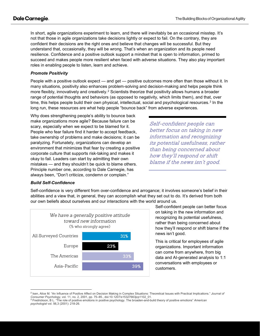In short, agile organizations experiment to learn, and there will inevitably be an occasional misstep. It's not that those in agile organizations take decisions lightly or expect to fail. On the contrary, they are confident their decisions are the right ones and believe that changes will be successful. But they understand that, occasionally, they will be wrong. That's when an organization and its people need resilience. Confidence and a positive outlook support a mindset that is open to information, primed to succeed and makes people more resilient when faced with adverse situations. They also play important roles in enabling people to listen, learn and achieve.

### *Promote Positivity*

People with a positive outlook expect — and get — positive outcomes more often than those without it. In many situations, positivity also enhances problem-solving and decision-making and helps people think more flexibly, innovatively and creatively.<sup>[2](#page-3-0)</sup> Scientists theorize that positivity allows humans a broader range of potential thoughts and behaviors (as opposed to negativity, which limits them), and that, over time, this helps people build their own physical, intellectual, social and psychological resources.<sup>[3](#page-3-1)</sup> In the long run, these resources are what help people "bounce back" from adverse experiences.

Why does strengthening people's ability to bounce back make organizations more agile? Because failure can be scary, especially when we expect to be blamed for it. People who fear failure find it harder to accept feedback, take ownership of problems and make decisions; it can be paralyzing. Fortunately, organizations can develop an environment that minimizes that fear by creating a positive corporate culture that supports risk-taking and makes it okay to fail. Leaders can start by admitting their own mistakes — and they shouldn't be quick to blame others. Principle number one, according to Dale Carnegie, has always been, "Don't criticize, condemn or complain."

Self-confident people can better focus on taking in new information and recognizing its potential usefulness, rather than being concerned about how they'll respond or shift blame if the news isn't good.

#### *Build Self-Confidence*

Self-confidence is very different from over-confidence and arrogance; it involves someone's belief in their abilities and a view that, in general, they can accomplish what they set out to do. It's derived from both our own beliefs about ourselves and our interactions with the world around us.



Self-confident people can better focus on taking in the new information and recognizing its potential usefulness, rather than being concerned about how they'll respond or shift blame if the news isn't good.

This is critical for employees of agile organizations. Important information can come from anywhere, from big data and AI-generated analysis to 1:1 conversations with employees or customers.

<span id="page-3-0"></span><sup>2</sup> Isen, Alice M. "An Influence of Positive Affect on Decision Making in Complex Situations: Theoretical Issues with Practical Implications." *Journal of Consumer Psychology*, vol. 11, no. 2, 2001, pp. 75–85., doi:10.1207/s15327663jcp1102\_01.

<span id="page-3-1"></span><sup>3</sup> Fredrickson, B L. "The role of positive emotions in positive psychology. The broaden-and-build theory of positive emotions" *American psychologist* vol. 56,3 (2001): 218-26.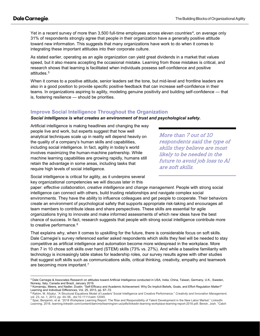Yet in a recent survey of more than 3,500 full-time employees across eleven countries<sup>[4](#page-4-0)</sup>, on average only 31% of respondents strongly agree that people in their organization have a generally positive attitude toward new information. This suggests that many organizations have work to do when it comes to integrating these important attitudes into their corporate culture.

As stated earlier, operating as an agile organization can yield great dividends in a market that values speed, but it also means accepting the occasional mistake. Learning from those mistakes is critical, and research shows that learning is facilitated when individuals possess self-confidence and positive attitudes.[5](#page-4-1)

When it comes to a positive attitude, senior leaders set the tone, but mid-level and frontline leaders are also in a good position to provide specific positive feedback that can increase self-confidence in their teams. In organizations aspiring to agility, modeling genuine positivity and building self-confidence — that is, fostering resilience — should be priorities.

#### **Improve Social Intelligence Throughout the Organization**

#### *Social intelligence is what creates an environment of trust and psychological safety.*

Artificial intelligence is making headlines and changing the way people live and work, but experts suggest that how well analytical techniques scale up in reality will depend heavily on the quality of a company's human skills and capabilities, including social intelligence. In fact, agility in today's world involves maximizing the human-machine partnership. While machine learning capabilities are growing rapidly, humans still retain the advantage in some areas, including tasks that require high levels of social intelligence.

More than 7 out of 10 respondents said the type of skills they believe are most likely to be needed in the future to avoid job loss to AI are soft skills.

Social intelligence is critical for agility, as it underpins several key organizational competencies we will discuss later in this

paper: *effective collaboration, creative intelligence* and *change management.* People with strong social intelligence can connect with others, build trusting relationships and navigate complex social environments. They have the ability to influence colleagues and get people to cooperate. Their behaviors create an environment of psychological safety that supports appropriate risk-taking and encourages all team members to contribute ideas and share perspectives. These skills are essential for agile organizations trying to innovate and make informed assessments of which new ideas have the best chance of success. In fact, research suggests that people with strong social intelligence contribute more to creative performance.<sup>[6](#page-4-2)</sup>

That explains why, when it comes to upskilling for the future, there is considerable focus on soft skills. Dale Carnegie's survey referenced earlier asked respondents which skills they feel will be needed to stay competitive as artificial intelligence and automation become more widespread in the workplace. More than 7 in 10 chose soft skills over hard (STEM) skills (73% vs. 27%). And while a baseline familiarity with technology is increasingly table stakes for leadership roles, our survey results agree with other studies that suggest soft skills such as communications skills, critical thinking, creativity, empathy and teamwork are becoming more important.[7](#page-4-3)

<span id="page-4-0"></span><sup>4</sup> Dale Carnegie & Associates Research on attitudes toward Artificial Intelligence conducted in USA, India, China, Taiwan, Germany, U.K., Sweden,

<span id="page-4-1"></span>Norway, Italy, Canada and Brazil, January 2019.<br><sup>5</sup> Komarraju, Meera, and Nadler, Dustin. "Self-Efficacy and Academic Achievement: Why Do Implicit Beliefs, Goals, and Effort Regulation Matter?" Learning and Individual Differences, Vol. 25, 2013, pp. 67–72.

<span id="page-4-2"></span><sup>6</sup> Rahim, M. Afzalur. "A Structural Equations Model of Leaders' Social Intelligence and Creative Performance." *Creativity and Innovation Management*, vol. 23, no. 1, 2013, pp. 44–56., doi:10.1111/caim.12045.

<span id="page-4-3"></span><sup>7</sup> Spar, Benjamin, et al. "2018 Workplace Learning Report: The Rise and Responsibility of Talent Development in the New Labor Market." *LinkedIn Learning*, 2018, learning.linkedin.com/content/dam/me/learning/en-us/pdfs/linkedin-learning-workplace-learning-report-2018.pdf; Bersin, Josh. "Catch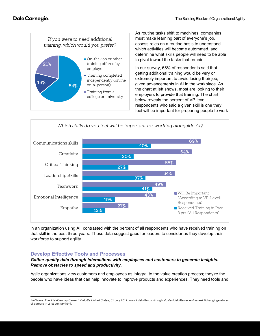

As routine tasks shift to machines, companies must make learning part of everyone's job, assess roles on a routine basis to understand which activities will become automated, and determine what skills people will need to be able to pivot toward the tasks that remain.

In our survey, 68% of respondents said that getting additional training would be very or extremely important to avoid losing their job, given advancements in AI in the workplace. As the chart at left shows, most are looking to their employers to provide that training. The chart below reveals the percent of VP-level respondents who said a given skill is one they feel will be important for preparing people to work



in an organization using AI, contrasted with the percent of all respondents who have received training on that skill in the past three years. These data suggest gaps for leaders to consider as they develop their workforce to support agility.

# **Develop Effective Tools and Processes**

#### *Gather quality data through interactions with employees and customers to generate insights. Remove obstacles to speed and productivity.*

Agile organizations view customers and employees as integral to the value creation process; they're the people who have ideas that can help innovate to improve products and experiences. They need tools and

the Wave: The 21st-Century Career." *Deloitte United States*, 31 July 2017, www2.deloitte.com/insights/us/en/deloitte-review/issue-21/changing-natureof-careers-in-21st-century.html.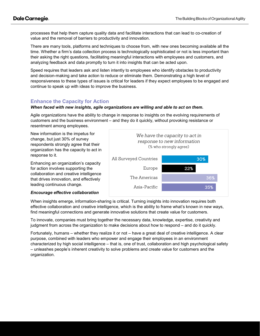processes that help them capture quality data and facilitate interactions that can lead to co-creation of value and the removal of barriers to productivity and innovation.

There are many tools, platforms and techniques to choose from, with new ones becoming available all the time. Whether a firm's data collection process is technologically sophisticated or not is less important than their asking the right questions, facilitating meaningful interactions with employees and customers, and analyzing feedback and data promptly to turn it into insights that can be acted upon.

Speed requires that leaders ask and listen intently to employees who identify obstacles to productivity and decision-making and take action to reduce or eliminate them. Demonstrating a high level of responsiveness to these types of issues is critical for leaders if they expect employees to be engaged and continue to speak up with ideas to improve the business.

# **Enhance the Capacity for Action**

#### *When faced with new insights, agile organizations are willing and able to act on them.*

Agile organizations have the ability to change in response to insights on the evolving requirements of customers and the business environment – and they do it quickly, without provoking resistance or resentment among employees.

New information is the impetus for change, but just 30% of survey respondents strongly agree that their organization has the capacity to act in response to it.

Enhancing an organization's capacity for action involves supporting the collaboration and creative intelligence that drives innovation, and effectively leading continuous change.



#### *Encourage effective collaboration*

When insights emerge, information-sharing is critical. Turning insights into innovation requires both effective collaboration and creative intelligence, which is the ability to frame what's known in new ways, find meaningful connections and generate innovative solutions that create value for customers.

To innovate, companies must bring together the necessary data, knowledge, expertise, creativity and judgment from across the organization to make decisions about how to respond – and do it quickly.

Fortunately, humans – whether they realize it or not – have a great deal of creative intelligence. A clear purpose, combined with leaders who empower and engage their employees in an environment characterized by high social intelligence – that is, one of trust, collaboration and high psychological safety – unleashes people's inherent creativity to solve problems and create value for customers and the organization.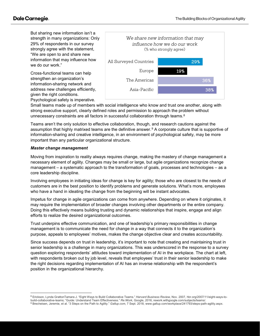But sharing new information isn't a strength in many organizations: Only 29% of respondents in our survey strongly agree with the statement, "We are open to and share new information that may influence how we do our work."

Cross-functional teams can help strengthen an organization's information-sharing network and address new challenges efficiently, given the right conditions. Psychological safety is imperative.



Small teams made up of members with social intelligence who know and trust one another, along with strong executive support, clearly defined roles and permission to approach the problem without unnecessary constraints are all factors in successful collaboration through teams.<sup>[8](#page-7-0)</sup>

Teams aren't the only solution to effective collaboration, though, and research cautions against the assumption that highly matrixed teams are the definitive answer.[9](#page-7-1) A corporate culture that is supportive of information-sharing and creative intelligence, in an environment of psychological safety, may be more important than any particular organizational structure.

#### *Master change management*

Moving from inspiration to reality always requires change, making the mastery of change management a necessary element of agility. Changes may be small or large, but agile organizations recognize change management – a systematic approach to the transformation of goals, processes and technologies – as a core leadership discipline.

Involving employees in initiating ideas for change is key for agility; those who are closest to the needs of customers are in the best position to identify problems and generate solutions. What's more, employees who have a hand in ideating the change from the beginning will be instant advocates.

Impetus for change in agile organizations can come from anywhere. Depending on where it originates, it may require the implementation of broader changes involving other departments or the entire company. Doing this effectively means building trusting and dynamic relationships that inspire, engage and align efforts to realize the desired organizational outcomes.

Trust underpins effective communication, and one of leadership's primary responsibilities in change management is to communicate the need for change in a way that connects it to the organization's purpose, appeals to employees' motives, makes the change objective clear and creates accountability.

Since success depends on trust in leadership, it's important to note that creating and maintaining trust in senior leadership is a challenge in many organizations. This was underscored in the response to a survey question exploring respondents' attitudes toward implementation of AI in the workplace. The chart at left, with respondents broken out by job level, reveals that employees' trust in their senior leadership to make the right decisions regarding implementation of AI has an inverse relationship with the respondent's position in the organizational hierarchy.

<span id="page-7-1"></span><span id="page-7-0"></span><sup>8</sup> Erickson, Lynda GrattonTamara J. "Eight Ways to Build Collaborative Teams." *Harvard Business Review*, Nov. 2007, hbr.org/2007/11/eight-ways-tobuild-collaborative-teams; "Guide: Understand Team Effectiveness." *Re:Work*, Google, 2016, rework.withgoogle.com/subjects/teams/. <sup>9</sup> Brecheisen, Jeremie, et al. "3 Steps on the Path to Agility." *Gallup.com*, 7 Sept. 2018, www.gallup.com/workplace/241793/steps-path-agility.aspx.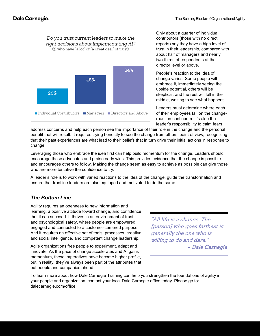

Only about a quarter of individual contributors (those with no direct reports) say they have a high level of trust in their leadership, compared with about half of managers and nearly two-thirds of respondents at the director level or above.

People's reaction to the idea of change varies. Some people will embrace it, immediately seeing the upside potential, others will be skeptical, and the rest will fall in the middle, waiting to see what happens.

Leaders must determine where each of their employees fall on the changereaction continuum. It's also the leader's responsibility to calm fears,

address concerns and help each person see the importance of their role in the change and the personal benefit that will result. It requires trying honestly to see the change from others' point of view, recognizing that their past experiences are what lead to their beliefs that in turn drive their initial actions in response to change.

Leveraging those who embrace the idea first can help build momentum for the change. Leaders should encourage these advocates and praise early wins. This provides evidence that the change is possible and encourages others to follow. Making the change seem as easy to achieve as possible can give those who are more tentative the confidence to try.

A leader's role is to work with varied reactions to the idea of the change, guide the transformation and ensure that frontline leaders are also equipped and motivated to do the same.

# *The Bottom Line*

Agility requires an openness to new information and learning, a positive attitude toward change, and confidence that it can succeed. It thrives in an environment of trust and psychological safety, where people are empowered, engaged and connected to a customer-centered purpose. And it requires an effective set of tools, processes, creative and social intelligence, and competent change leadership.

Agile organizations free people to experiment, adapt and innovate. As the pace of change accelerates and AI gains momentum, these imperatives have become higher profile, but in reality, they've always been part of the attributes that put people and companies ahead.

"All life is a chance. The [person] who goes farthest is generally the one who is willing to do and dare." - Dale Carnegie

To learn more about how Dale Carnegie Training can help you strengthen the foundations of agility in your people and organization, contact your local Dale Carnegie office today. Please go to: dalecarnegie.com/office